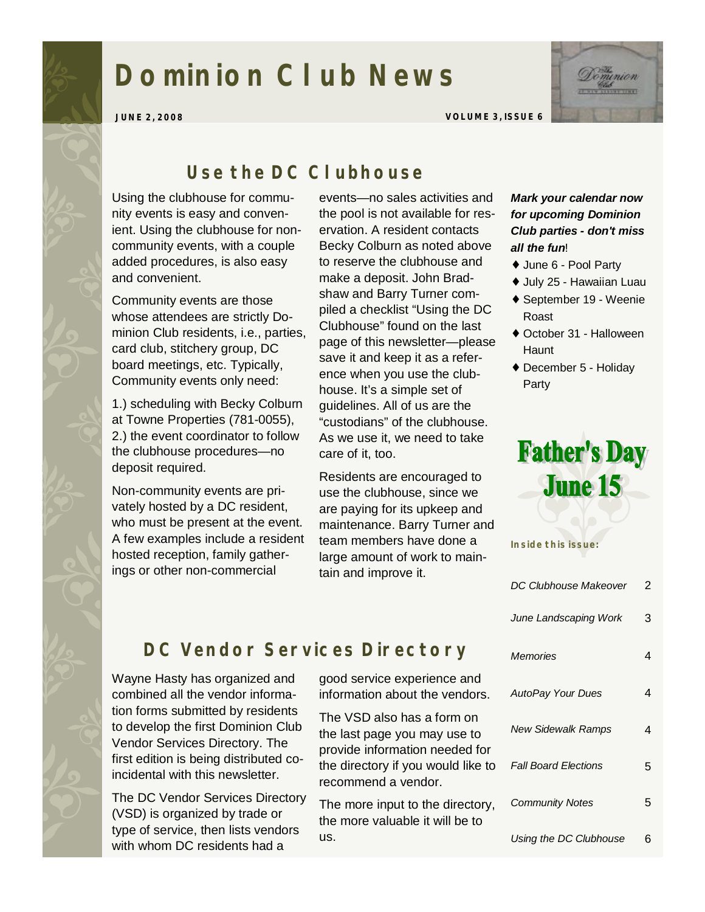# **Dominion Club News**



**JUNE 2, 2008 VOLUME 3, ISSUE 6** 

### *Use the DC Clubhouse*

Using the clubhouse for community events is easy and convenient. Using the clubhouse for noncommunity events, with a couple added procedures, is also easy and convenient.

Community events are those whose attendees are strictly Dominion Club residents, i.e., parties, card club, stitchery group, DC board meetings, etc. Typically, Community events only need:

1.) scheduling with Becky Colburn at Towne Properties (781-0055), 2.) the event coordinator to follow the clubhouse procedures—no deposit required.

Non-community events are privately hosted by a DC resident, who must be present at the event. A few examples include a resident hosted reception, family gatherings or other non-commercial

events—no sales activities and the pool is not available for reservation. A resident contacts Becky Colburn as noted above to reserve the clubhouse and make a deposit. John Bradshaw and Barry Turner compiled a checklist "Using the DC Clubhouse" found on the last page of this newsletter—please save it and keep it as a reference when you use the clubhouse. It's a simple set of guidelines. All of us are the "custodians" of the clubhouse. As we use it, we need to take care of it, too.

Residents are encouraged to use the clubhouse, since we are paying for its upkeep and maintenance. Barry Turner and team members have done a large amount of work to maintain and improve it.

#### *Mark your calendar now for upcoming Dominion Club parties - don't miss all the fun*!

- ♦ June 6 Pool Party
- ♦ July 25 Hawaiian Luau
- ♦ September 19 Weenie Roast
- ♦ October 31 Halloween **Haunt**
- ♦ December 5 Holiday Party



**Inside this issue:** 

| DC Clubhouse Makeover       | 2 |
|-----------------------------|---|
| June Landscaping Work       | 3 |
| Memories                    | 4 |
| <b>AutoPay Your Dues</b>    | 4 |
| <b>New Sidewalk Ramps</b>   | 4 |
| <b>Fall Board Elections</b> | 5 |
| <b>Community Notes</b>      | 5 |
| Using the DC Clubhouse      | 6 |

# *DC Vendor Services Directory*

Wayne Hasty has organized and combined all the vendor information forms submitted by residents to develop the first Dominion Club Vendor Services Directory. The first edition is being distributed coincidental with this newsletter.

The DC Vendor Services Directory (VSD) is organized by trade or type of service, then lists vendors with whom DC residents had a

good service experience and information about the vendors.

The VSD also has a form on the last page you may use to provide information needed for the directory if you would like to recommend a vendor.

The more input to the directory, the more valuable it will be to us.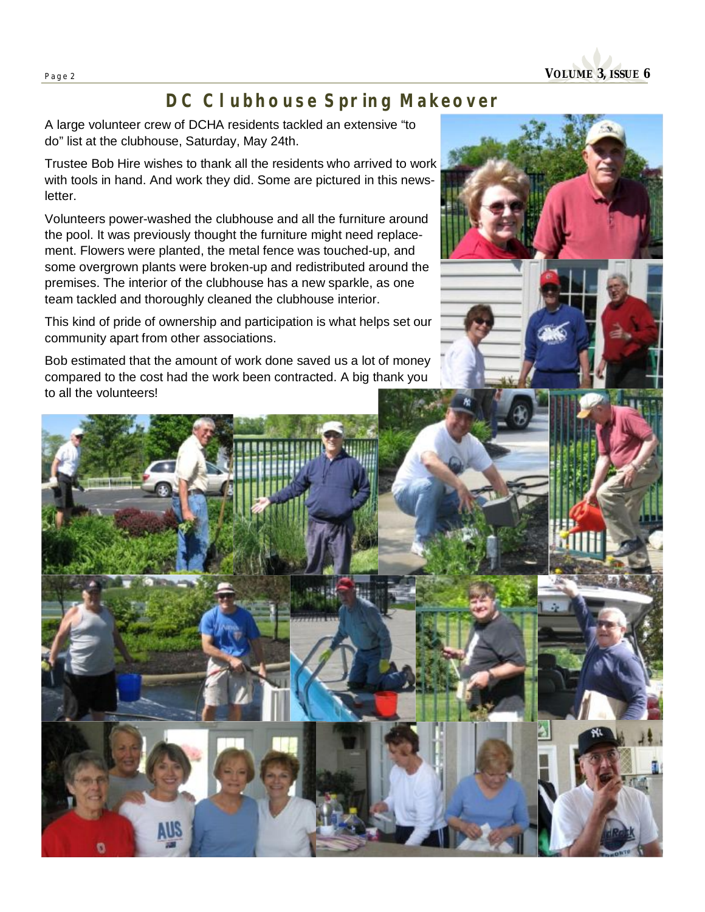**Page <sup>2</sup>VOLUME 3, ISSUE 6** 

## *DC Clubhouse Spring Makeover*

A large volunteer crew of DCHA residents tackled an extensive "to do" list at the clubhouse, Saturday, May 24th.

Trustee Bob Hire wishes to thank all the residents who arrived to work with tools in hand. And work they did. Some are pictured in this newsletter.

Volunteers power-washed the clubhouse and all the furniture around the pool. It was previously thought the furniture might need replacement. Flowers were planted, the metal fence was touched-up, and some overgrown plants were broken-up and redistributed around the premises. The interior of the clubhouse has a new sparkle, as one team tackled and thoroughly cleaned the clubhouse interior.

This kind of pride of ownership and participation is what helps set our community apart from other associations.

Bob estimated that the amount of work done saved us a lot of money compared to the cost had the work been contracted. A big thank you to all the volunteers!

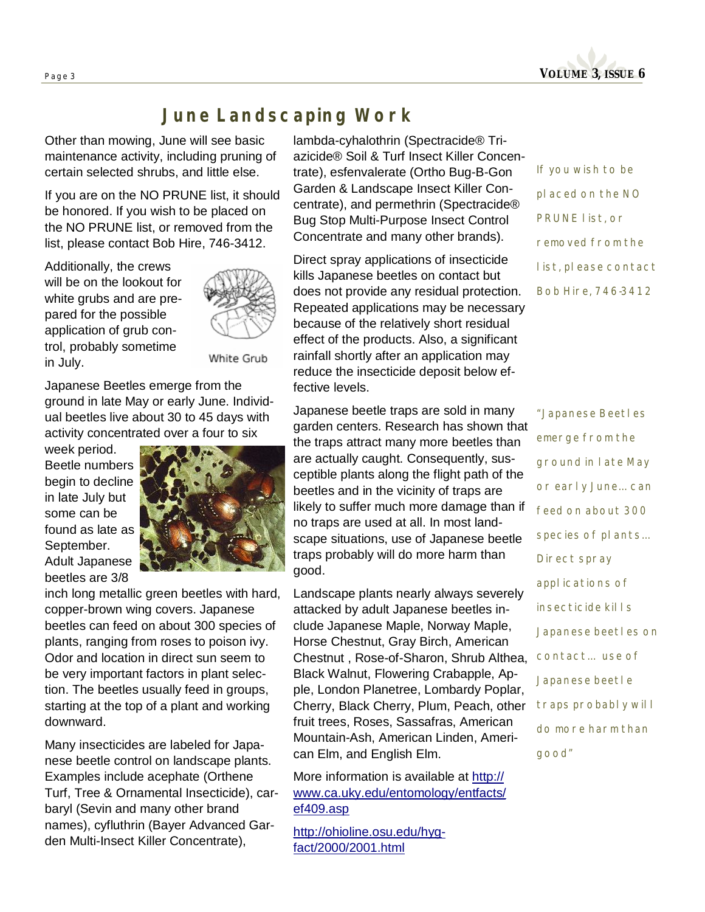

### *June Landscaping Work*

Other than mowing, June will see basic maintenance activity, including pruning of certain selected shrubs, and little else.

If you are on the NO PRUNE list, it should be honored. If you wish to be placed on the NO PRUNE list, or removed from the list, please contact Bob Hire, 746-3412.

Additionally, the crews will be on the lookout for white grubs and are prepared for the possible application of grub control, probably sometime in July.



White Grub

Japanese Beetles emerge from the ground in late May or early June. Individual beetles live about 30 to 45 days with activity concentrated over a four to six

week period. Beetle numbers begin to decline in late July but some can be found as late as September. Adult Japanese beetles are 3/8



inch long metallic green beetles with hard, copper-brown wing covers. Japanese beetles can feed on about 300 species of plants, ranging from roses to poison ivy. Odor and location in direct sun seem to be very important factors in plant selection. The beetles usually feed in groups, starting at the top of a plant and working downward.

Many insecticides are labeled for Japanese beetle control on landscape plants. Examples include acephate (Orthene Turf, Tree & Ornamental Insecticide), carbaryl (Sevin and many other brand names), cyfluthrin (Bayer Advanced Garden Multi-Insect Killer Concentrate),

lambda-cyhalothrin (Spectracide® Triazicide® Soil & Turf Insect Killer Concentrate), esfenvalerate (Ortho Bug-B-Gon Garden & Landscape Insect Killer Concentrate), and permethrin (Spectracide® Bug Stop Multi-Purpose Insect Control Concentrate and many other brands).

Direct spray applications of insecticide kills Japanese beetles on contact but does not provide any residual protection. Repeated applications may be necessary because of the relatively short residual effect of the products. Also, a significant rainfall shortly after an application may reduce the insecticide deposit below effective levels.

Japanese beetle traps are sold in many garden centers. Research has shown that the traps attract many more beetles than are actually caught. Consequently, susceptible plants along the flight path of the beetles and in the vicinity of traps are likely to suffer much more damage than if no traps are used at all. In most landscape situations, use of Japanese beetle traps probably will do more harm than good.

Landscape plants nearly always severely attacked by adult Japanese beetles include Japanese Maple, Norway Maple, Horse Chestnut, Gray Birch, American Chestnut , Rose-of-Sharon, Shrub Althea, Black Walnut, Flowering Crabapple, Apple, London Planetree, Lombardy Poplar, Cherry, Black Cherry, Plum, Peach, other fruit trees, Roses, Sassafras, American Mountain-Ash, American Linden, American Elm, and English Elm.

More information is available at http:// [www.ca.uky.edu/entomology/entfacts/](http://www.ca.uky.edu/entomology/entfacts/) ef409.asp

<http://ohioline.osu.edu/hyg>fact/2000/2001.html

*If you wish to be placed on the NO PRUNE list, or removed from the list, please contact Bob Hire, 746-3412* 

*"Japanese Beetles emerge from the ground in late May or early June… can feed on about 300 species of plants… Direct spray applications of insecticide kills Japanese beetles on contact… use of Japanese beetle traps probably will do more harm than good"*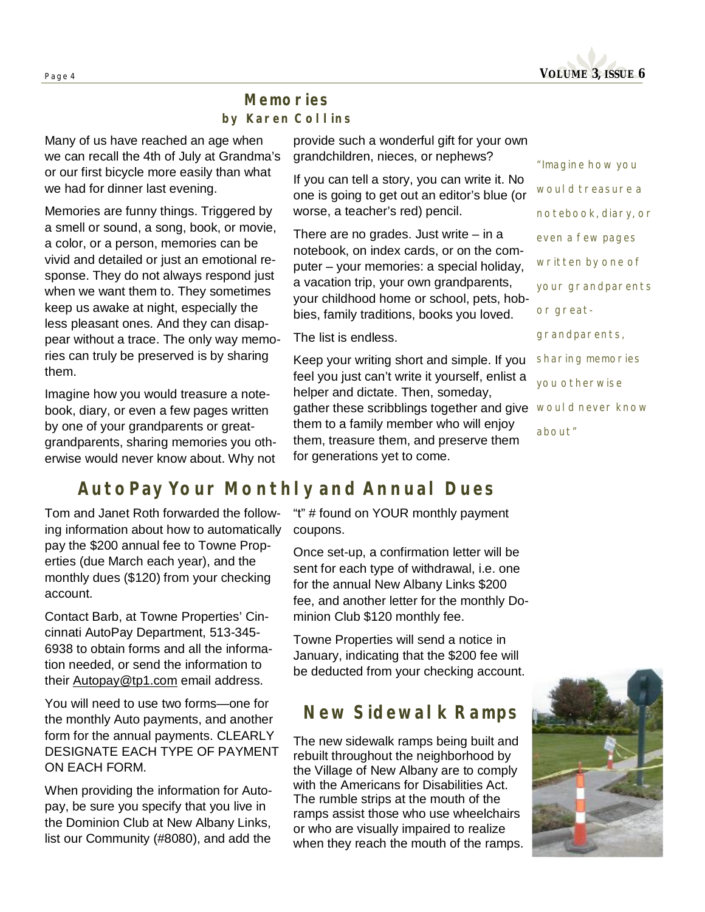

#### *Memories by Karen Collins*

Many of us have reached an age when we can recall the 4th of July at Grandma's or our first bicycle more easily than what we had for dinner last evening.

Memories are funny things. Triggered by a smell or sound, a song, book, or movie, a color, or a person, memories can be vivid and detailed or just an emotional response. They do not always respond just when we want them to. They sometimes keep us awake at night, especially the less pleasant ones. And they can disappear without a trace. The only way memories can truly be preserved is by sharing them.

Imagine how you would treasure a notebook, diary, or even a few pages written by one of your grandparents or greatgrandparents, sharing memories you otherwise would never know about. Why not

provide such a wonderful gift for your own grandchildren, nieces, or nephews?

If you can tell a story, you can write it. No one is going to get out an editor's blue (or worse, a teacher's red) pencil.

There are no grades. Just write  $-$  in a notebook, on index cards, or on the computer – your memories: a special holiday, a vacation trip, your own grandparents, your childhood home or school, pets, hobbies, family traditions, books you loved.

The list is endless.

Keep your writing short and simple. If you feel you just can't write it yourself, enlist a helper and dictate. Then, someday, gather these scribblings together and give *would never know*  them to a family member who will enjoy them, treasure them, and preserve them for generations yet to come.

*"Imagine how you would treasure a notebook, diary, or even a few pages written by one of your grandparents or greatgrandparents, sharing memories you otherwise about"* 

# *AutoPay Your Monthly and Annual Dues*

Tom and Janet Roth forwarded the following information about how to automatically pay the \$200 annual fee to Towne Properties (due March each year), and the monthly dues (\$120) from your checking account.

Contact Barb, at Towne Properties' Cincinnati AutoPay Department, 513-345- 6938 to obtain forms and all the information needed, or send the information to their **Autopay@tp1.com** email address.

You will need to use two forms—one for the monthly Auto payments, and another form for the annual payments. CLEARLY DESIGNATE EACH TYPE OF PAYMENT ON EACH FORM.

When providing the information for Autopay, be sure you specify that you live in the Dominion Club at New Albany Links, list our Community (#8080), and add the

"t" # found on YOUR monthly payment coupons.

Once set-up, a confirmation letter will be sent for each type of withdrawal, i.e. one for the annual New Albany Links \$200 fee, and another letter for the monthly Dominion Club \$120 monthly fee.

Towne Properties will send a notice in January, indicating that the \$200 fee will be deducted from your checking account.

### *New Sidewalk Ramps*

The new sidewalk ramps being built and rebuilt throughout the neighborhood by the Village of New Albany are to comply with the Americans for Disabilities Act. The rumble strips at the mouth of the ramps assist those who use wheelchairs or who are visually impaired to realize when they reach the mouth of the ramps.

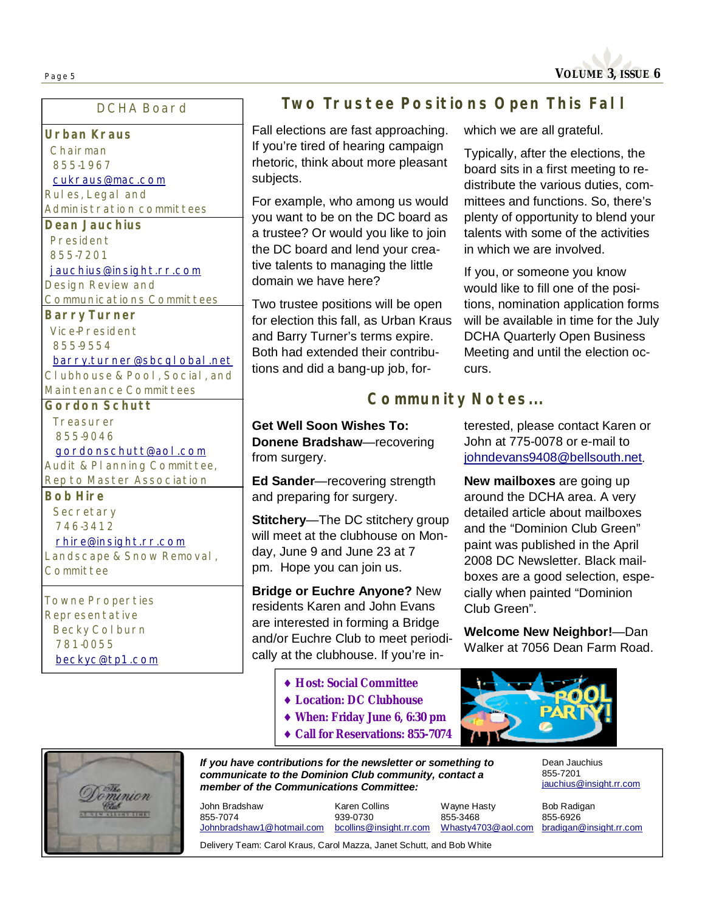#### **DCHA Board**

**Urban Kraus**  Chairman 855-1967 [cukraus@mac.com](mailto:cukraus@mac.com) Rules, Legal and Administration committees **Dean Jauchius**  President 855-7201 [jauchius@insight.rr.com](mailto:jauchius@insight.rr.com) Design Review and

Communications Committees **Barry Turner**  Vice-President 855-9554

[barry.turner@sbcglobal.net](mailto:barry.turner@sbcglobal.net)

Clubhouse & Pool, Social, and Maintenance Committees

**Gordon Schutt Treasurer** 855-9046

#### [gordonschutt@aol.com](mailto:gordonschutt@aol.com)

Audit & Planning Committee, Rep to Master Association

**Bob Hire Secretary** 746-3412

#### [rhire@insight.rr.com](mailto:rhire@insight.rr.com)

Landscape & Snow Removal, **Committee** 

Towne Properties Representative Becky Colburn 781-0055 [beckyc@tp1.com](mailto:beckyc@tp1.com)

#### *Two Trustee Positions Open This Fall*

Fall elections are fast approaching. If you're tired of hearing campaign rhetoric, think about more pleasant subjects.

For example, who among us would you want to be on the DC board as a trustee? Or would you like to join the DC board and lend your creative talents to managing the little domain we have here?

Two trustee positions will be open for election this fall, as Urban Kraus and Barry Turner's terms expire. Both had extended their contributions and did a bang-up job, forwhich we are all grateful.

Typically, after the elections, the board sits in a first meeting to redistribute the various duties, committees and functions. So, there's plenty of opportunity to blend your talents with some of the activities in which we are involved.

If you, or someone you know would like to fill one of the positions, nomination application forms will be available in time for the July DCHA Quarterly Open Business Meeting and until the election occurs.

#### *Community Notes...*

**Get Well Soon Wishes To: Donene Bradshaw**—recovering from surgery.

**Ed Sander**—recovering strength and preparing for surgery.

**Stitchery**—The DC stitchery group will meet at the clubhouse on Monday, June 9 and June 23 at 7 pm. Hope you can join us.

**Bridge or Euchre Anyone?** New residents Karen and John Evans are interested in forming a Bridge and/or Euchre Club to meet periodically at the clubhouse. If you're interested, please contact Karen or John at 775-0078 or e-mail to [johndevans9408@bellsouth.net.](mailto:johndevans9408@bellsouth.net)

**New mailboxes** are going up around the DCHA area. A very detailed article about mailboxes and the "Dominion Club Green" paint was published in the April 2008 DC Newsletter. Black mailboxes are a good selection, especially when painted "Dominion Club Green".

**Welcome New Neighbor!**—Dan Walker at 7056 Dean Farm Road.

- ♦ **Host: Social Committee** 
	- ♦ **Location: DC Clubhouse**
	- ♦ **When: Friday June 6, 6:30 pm**
- ♦ **Call for Reservations: 855-7074**

Dean Jauchius

*If you have contributions for the newsletter or something to*  Wayne Hasty Bob Radigan 855-7201 [jauchius@insight.rr.com](mailto:jauchius@insight.rr.com)

855-6926 [bradigan@insight.rr.com](mailto:bradigan@insight.rr.com)

*communicate to the Dominion Club community, contact a member of the Communications Committee:*  855-3468 [Whasty4703@aol.com](mailto:Whasty4703@aol.com) John Bradshaw 855-7074 Karen Collins 939-0730

[Johnbradshaw1@hotmail.com](mailto:Johnbradshaw1@hotmail.com)

[bcollins@insight.rr.com](mailto:bcollins@insight.rr.com)

Delivery Team: Carol Kraus, Carol Mazza, Janet Schutt, and Bob White